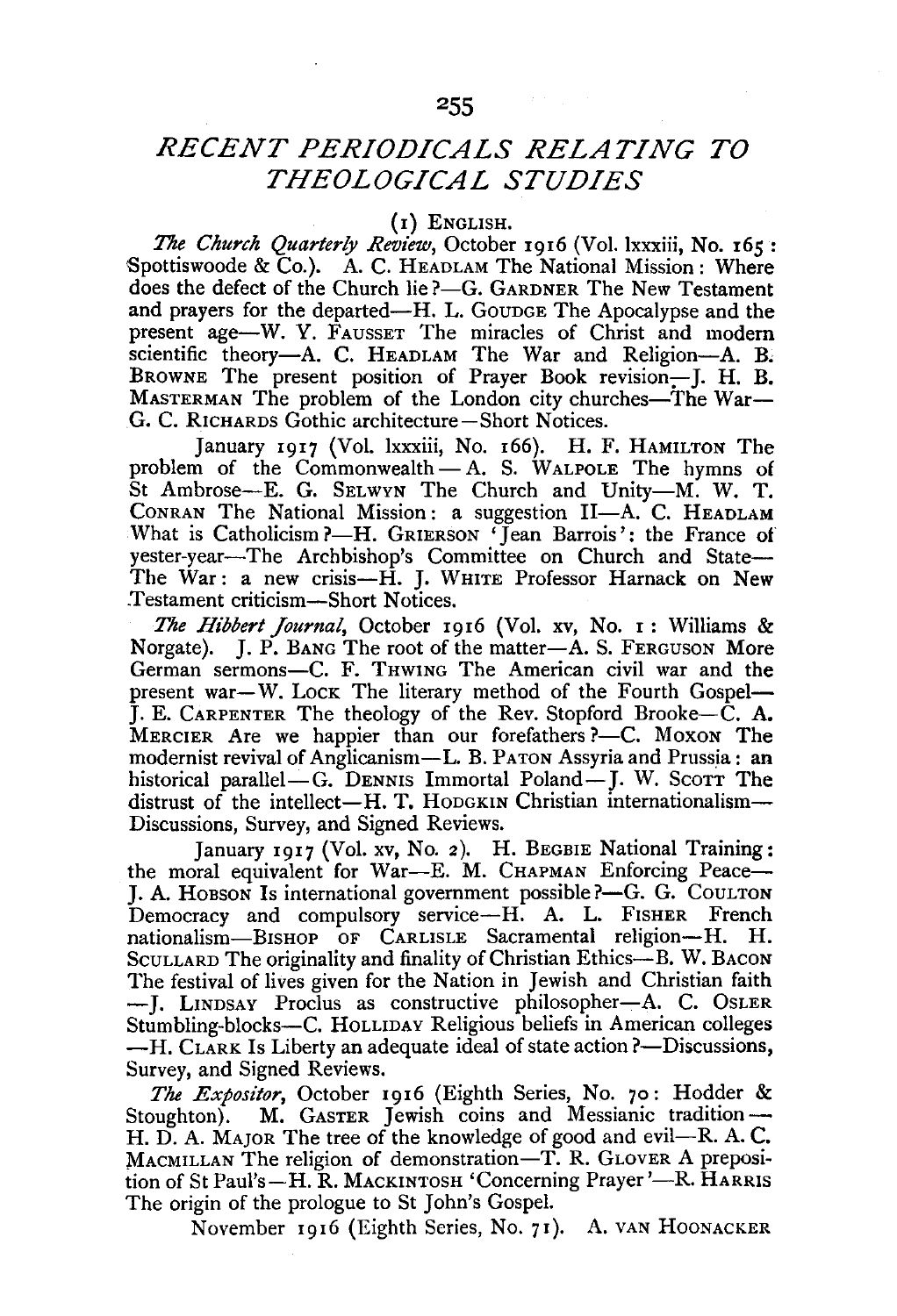## *RECENT PERIODICALS RELATING TO THEOLOGICAL STUDIES*

## (I) ENGLISH.

*The Church Quarterly Review,* October 1916 (Vol. lxxxiii, No. 165: Spottiswoode & Co.). A. C. HEADLAM The National Mission: Where does the defect of the Church lie ?- G. GARDNER The New Testament and prayers for the departed-H. L. GOUDGE The Apocalypse and the present age-W. Y. FAUSSET The miracles of Christ and modern scientific theory-A. C. HEADLAM The War and Religion-A. B. BROWNE The present position of Prayer Book revision-J. H. B. MASTERMAN The problem of the London city churches-The War-G. C. RICHARDS Gothic architecture-Short Notices.

January 1917 (Vol. lxxxiii, No. 166). H. F. HAMILTON The problem of the Commonwealth $- A$ . S. WALPOLE The hymns of St Ambrose--E. G. SELWYN The Church and Unity--M. W. T. CONRAN The National Mission: a suggestion II-A. C. HEADLAM What is Catholicism ?- H. GRIERSON 'Jean Barrois': the France of yester-year-The Archbishop's Committee on Church and State-The War: a new crisis-H. J. WHITE Professor Harnack on New Testament criticism-Short Notices.

*The Hibbert Journal,* October I9I6 (Vol. xv, No. I: Williams & Norgate). J. P. BANG The root of the matter-A. S. FERGUSON More German sermons-C. F. THWING The American civil war and the present war-W. Lock The literary method of the Fourth Gospel-J. E. CARPENTER The theology of the Rev. Stopford Brooke-C. A. MERCIER Are we happier than our forefathers ?--C. Moxon The modernist revival of Anglicanism-L. B. PATON Assyria and Prussia: an historical parallel- $G$ . DENNIS Immortal Poland-I. W. Sco $TT$  The distrust of the intellect-H. T. HODGKIN Christian internationalism-Discussions, Survey, and Signed Reviews.

January 1917 (Vol. xv, No. 2). H. BEGBIE National Training: the moral equivalent for War-E. M. CHAPMAN Enforcing Peace-J. A. Hobson Is international government possible ?- G. G. CoulTon Democracy and compulsory service-H. A. L. FISHER French nationalism-BISHOP OF CARLISLE Sacramental religion-H. H. SCULLARD The originality and finality of Christian Ethics-B. W. BACON The festival of lives given for the Nation in Jewish and Christian faith - J. LINDSAY Proclus as constructive philosopher-A. C. OSLER Stumbling-blocks-C. HoLLIDAY Religious beliefs in American colleges  $-H$ . CLARK Is Liberty an adequate ideal of state action ?- Discussions, Survey, and Signed Reviews.

*The Expositor,* October 19I6 (Eighth Series, No. 70: Hodder & Stoughton). M. GASTER Jewish coins and Messianic tradition-H. D. A. Major. The tree of the knowledge of good and evil--R. A. C. MACMILLAN The religion of demonstration-T. R. GLOVER A preposition of St Paul's-H. R. MACKINTOSH 'Concerning Prayer'-R. HARRIS The origin of the prologue to St John's Gospel.

November I916 (Eighth Series, No. 71). A. VAN HooNACKER